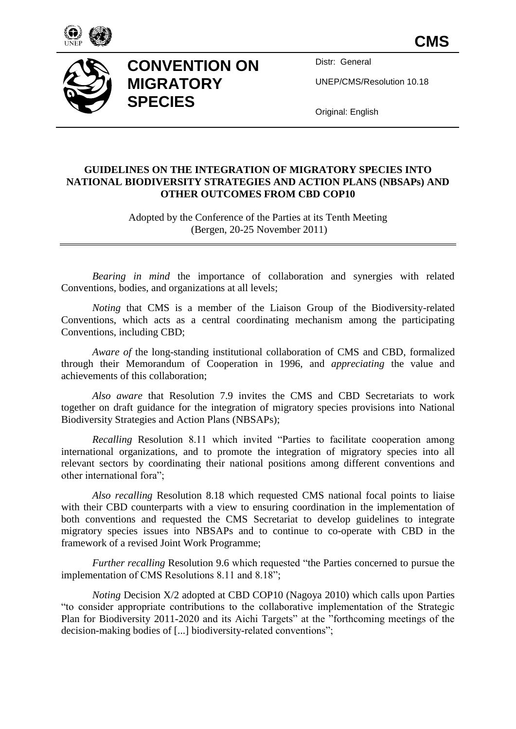

**CMS**



## **CONVENTION ON MIGRATORY SPECIES**

Distr: General

UNEP/CMS/Resolution 10.18

Original: English

## **GUIDELINES ON THE INTEGRATION OF MIGRATORY SPECIES INTO NATIONAL BIODIVERSITY STRATEGIES AND ACTION PLANS (NBSAPs) AND OTHER OUTCOMES FROM CBD COP10**

Adopted by the Conference of the Parties at its Tenth Meeting (Bergen, 20-25 November 2011)

*Bearing in mind* the importance of collaboration and synergies with related Conventions, bodies, and organizations at all levels;

*Noting* that CMS is a member of the Liaison Group of the Biodiversity-related Conventions, which acts as a central coordinating mechanism among the participating Conventions, including CBD;

*Aware of* the long-standing institutional collaboration of CMS and CBD, formalized through their Memorandum of Cooperation in 1996, and *appreciating* the value and achievements of this collaboration;

*Also aware* that Resolution 7.9 invites the CMS and CBD Secretariats to work together on draft guidance for the integration of migratory species provisions into National Biodiversity Strategies and Action Plans (NBSAPs);

*Recalling* Resolution 8.11 which invited "Parties to facilitate cooperation among international organizations, and to promote the integration of migratory species into all relevant sectors by coordinating their national positions among different conventions and other international fora";

*Also recalling* Resolution 8.18 which requested CMS national focal points to liaise with their CBD counterparts with a view to ensuring coordination in the implementation of both conventions and requested the CMS Secretariat to develop guidelines to integrate migratory species issues into NBSAPs and to continue to co-operate with CBD in the framework of a revised Joint Work Programme;

*Further recalling* Resolution 9.6 which requested "the Parties concerned to pursue the implementation of CMS Resolutions 8.11 and 8.18";

*Noting* Decision X/2 adopted at CBD COP10 (Nagoya 2010) which calls upon Parties "to consider appropriate contributions to the collaborative implementation of the Strategic Plan for Biodiversity 2011-2020 and its Aichi Targets" at the "forthcoming meetings of the decision-making bodies of [...] biodiversity-related conventions";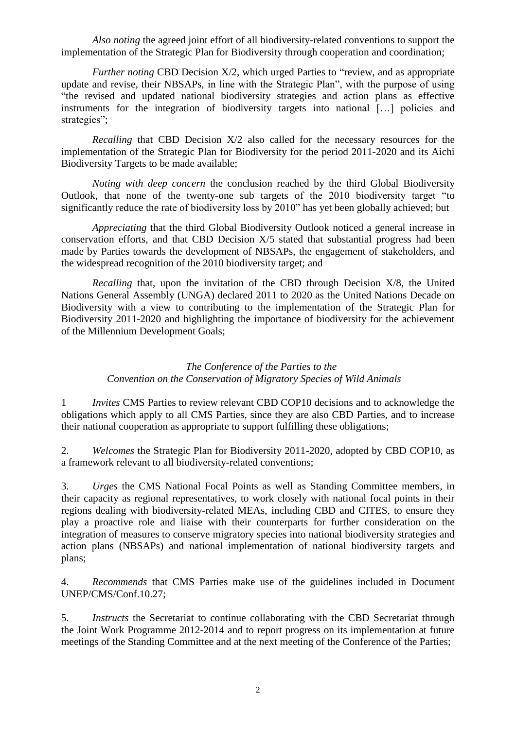*Also noting* the agreed joint effort of all biodiversity-related conventions to support the implementation of the Strategic Plan for Biodiversity through cooperation and coordination;

*Further noting* CBD Decision X/2, which urged Parties to "review, and as appropriate update and revise, their NBSAPs, in line with the Strategic Plan", with the purpose of using "the revised and updated national biodiversity strategies and action plans as effective instruments for the integration of biodiversity targets into national […] policies and strategies";

*Recalling* that CBD Decision X/2 also called for the necessary resources for the implementation of the Strategic Plan for Biodiversity for the period 2011-2020 and its Aichi Biodiversity Targets to be made available;

*Noting with deep concern* the conclusion reached by the third Global Biodiversity Outlook, that none of the twenty-one sub targets of the 2010 biodiversity target "to significantly reduce the rate of biodiversity loss by 2010" has yet been globally achieved; but

*Appreciating* that the third Global Biodiversity Outlook noticed a general increase in conservation efforts, and that CBD Decision X/5 stated that substantial progress had been made by Parties towards the development of NBSAPs, the engagement of stakeholders, and the widespread recognition of the 2010 biodiversity target; and

*Recalling* that, upon the invitation of the CBD through Decision X/8, the United Nations General Assembly (UNGA) declared 2011 to 2020 as the United Nations Decade on Biodiversity with a view to contributing to the implementation of the Strategic Plan for Biodiversity 2011-2020 and highlighting the importance of biodiversity for the achievement of the Millennium Development Goals;

## *The Conference of the Parties to the Convention on the Conservation of Migratory Species of Wild Animals*

1 *Invites* CMS Parties to review relevant CBD COP10 decisions and to acknowledge the obligations which apply to all CMS Parties, since they are also CBD Parties, and to increase their national cooperation as appropriate to support fulfilling these obligations;

2. *Welcomes* the Strategic Plan for Biodiversity 2011-2020, adopted by CBD COP10, as a framework relevant to all biodiversity-related conventions;

3. *Urges* the CMS National Focal Points as well as Standing Committee members, in their capacity as regional representatives, to work closely with national focal points in their regions dealing with biodiversity-related MEAs, including CBD and CITES, to ensure they play a proactive role and liaise with their counterparts for further consideration on the integration of measures to conserve migratory species into national biodiversity strategies and action plans (NBSAPs) and national implementation of national biodiversity targets and plans;

4. *Recommends* that CMS Parties make use of the guidelines included in Document UNEP/CMS/Conf.10.27;

5. *Instructs* the Secretariat to continue collaborating with the CBD Secretariat through the Joint Work Programme 2012-2014 and to report progress on its implementation at future meetings of the Standing Committee and at the next meeting of the Conference of the Parties;